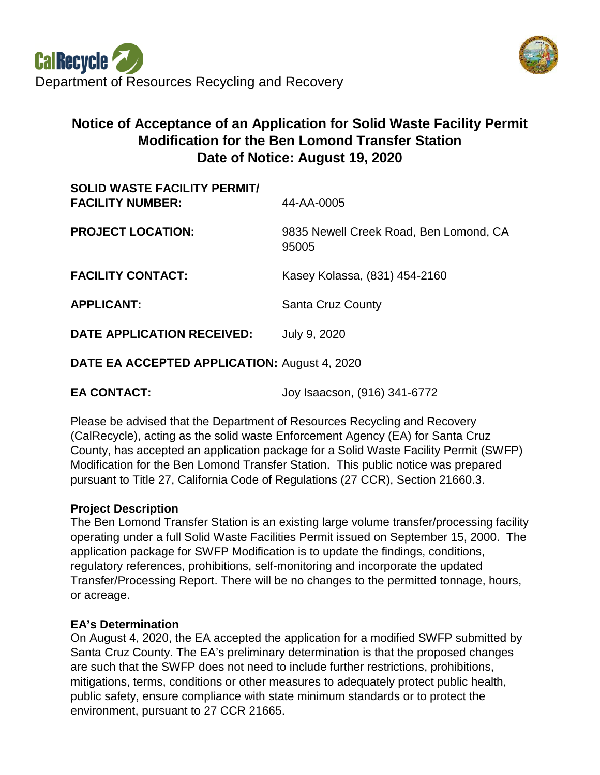

# **Notice of Acceptance of an Application for Solid Waste Facility Permit Modification for the Ben Lomond Transfer Station Date of Notice: August 19, 2020**

| <b>SOLID WASTE FACILITY PERMIT/</b><br><b>FACILITY NUMBER:</b> | 44-AA-0005                                      |
|----------------------------------------------------------------|-------------------------------------------------|
| <b>PROJECT LOCATION:</b>                                       | 9835 Newell Creek Road, Ben Lomond, CA<br>95005 |
| <b>FACILITY CONTACT:</b>                                       | Kasey Kolassa, (831) 454-2160                   |
| <b>APPLICANT:</b>                                              | <b>Santa Cruz County</b>                        |
| DATE APPLICATION RECEIVED:                                     | July 9, 2020                                    |
|                                                                |                                                 |

**DATE EA ACCEPTED APPLICATION:** August 4, 2020

**EA CONTACT:** Joy Isaacson, (916) 341-6772

Please be advised that the Department of Resources Recycling and Recovery (CalRecycle), acting as the solid waste Enforcement Agency (EA) for Santa Cruz County, has accepted an application package for a Solid Waste Facility Permit (SWFP) Modification for the Ben Lomond Transfer Station. This public notice was prepared pursuant to Title 27, California Code of Regulations (27 CCR), Section 21660.3.

## **Project Description**

The Ben Lomond Transfer Station is an existing large volume transfer/processing facility operating under a full Solid Waste Facilities Permit issued on September 15, 2000. The application package for SWFP Modification is to update the findings, conditions, regulatory references, prohibitions, self-monitoring and incorporate the updated Transfer/Processing Report. There will be no changes to the permitted tonnage, hours, or acreage.

## **EA's Determination**

On August 4, 2020, the EA accepted the application for a modified SWFP submitted by Santa Cruz County. The EA's preliminary determination is that the proposed changes are such that the SWFP does not need to include further restrictions, prohibitions, mitigations, terms, conditions or other measures to adequately protect public health, public safety, ensure compliance with state minimum standards or to protect the environment, pursuant to 27 CCR 21665.